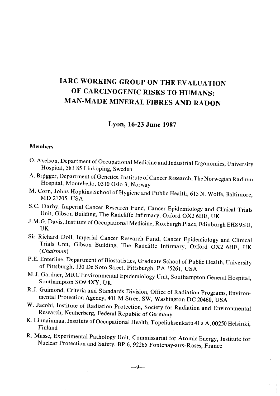# lARe WORKING GROUP ON THE EVALUATION OF CARCINOGENIC RISKS TO HUMANS: MAN-MADE MINERAL FIBRES AND RADON

## Lyon, 16-23 June 1987

#### Members

- O. Axelson, Department of Occupational Medicine and Industrial Ergonomies, University Hospital, 581 85 Linköping, Sweden
- A. Brøgger, Department of Genetics, Institute of Cancer Research, The Norwegian Radium Hospital, Montebello, 0310 Oslo 3, Norway
- M. Corn, Johns Hopkins School of Hygiene and Public Health, 615 N. Wolfe, Baltimore, MD 21205, USA
- S.c. Darby, Imperial Cancer Research Fund, Cancer Epidemiology and Clinical Trials Unit, Gibson Building, The Radcliffe Infirmary, Oxford OX2 6HE, UK
- J.M.G. Davis, Institute of Occupational Medicine, Roxburgh Place, Edinburgh EH8 9SU, UK
- Sir Richard Doll, Imperial Cancer Research Fund, Cancer Epidemiology and Clinical Trials Unit, Gibson Building, The Radcliffe Infirmary, Oxford OX2 6HE, UK ( Chairman)
- P.E. Enterline, Department of Biostatistics, Graduate School of Public Health, University of Pittsburgh, 130 De Soto Street, Pittsburgh, PA 15261, USA
- M.J. Gardner, MRC Environmental Epidemiology Unit, Southampton General Hospital, Southampton S09 4XY, UK
- R.J. Guimond, Criteria and Standards Division, Office of Radiation Programs, Environmental Protection Agency, 401 M Street SW, Washington DC 20460, USA
- W. Jacobi, Institute of Radiation Protection, Society for Radiation and Environmental Research, Neuherberg, Federal Republic of Germany
- K. Linnainmaa, lnstitute of Occupationa1 Health, T opeliuksenkatu 41 a A, 00250 Helsinki, Finland
- R. Masse, Experimental Pathology Unit, Commissariat for Atomic Energy, lnstitute for Nuclear Protection and Safety, BP 6,92265 Fontenay-aux-Roses, France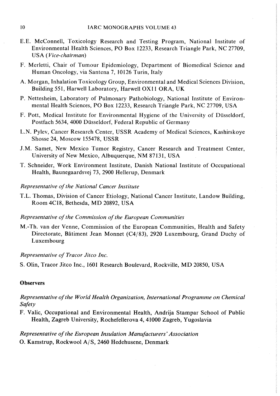- E.E. McConnell, Toxicology Research and Testing Program, National Institute of Environmental Health Sciences, PO Box 12233, Research Triangle Park, NC 27709, USA (Vice-chairman)
- F. Merletti, Chair of Tumour Epidemiology, Department of Biomedical Science and Human Oncology, via Santena 7, 10126 Turin, Italy
- A. Morgan, Inhalation Toxicology Group, Environmental and Medical Sciences Division, Building 551, Harwell Laboratory, Harwell OX11 ORA, UK
- P. Nettesheim, Laboratory of Pulmonary Pathobiology, National Institute of Environmental Health Sciences, PO Box 12233, Research Triangle Park, NC 27709, USA
- F. Pott, Medical Institute for Environmental Hygiene of the University of Düsseldorf, Postfach 5634, 4000 Düsseldorf, Federal Republic of Germany
- L.N. Pylev, Cancer Research Center, USSR Academy of Medical Sciences, Kashirskoye Shosse 24, Moscow 155478, USSR
- J.M. Samet, New Mexico Tumor Registry, Cancer Research and Treatment Center, University of New Mexico, Albuquerque, NM 87131, USA
- T. Schneider, Work Environment Institute, Danish National Institute of Occupational Health, Baunegaardsvej 73, 2900 Hellerup, Denmark
- Representative of the National Cancer Institute
- T.L. Thomas, Division of Cancer Etiology, National Cancer Institute, Landow Building, Room 4C18, Bethesda, MD 20892, USA
- Representative of the Commission of the European Communities
- M.-Th. van der Venne, Commission of the European Communities, Health and Safety Directorate, Bâtiment Jean Monnet (C4/83), 2920 Luxembourg, Grand Duchy of Luxembourg

#### Representative of Tracor Jitco Inc.

S. Olin, Tracor Jitco Inc., 1601 Research Boulevard, Rockvile, MD 20850, USA

#### **Observers**

Representative of the World Health Organization, International Programme on Chemical **Safety** 

F. Valic, Occupational and Environmental Health, Andrija Stampar School of Public Health, Zagreb University, Rochefellerova 4,41000 Zagreb, Yugoslavia

Representative of the European Insulation Manufacturers' Association O. Kamstrup, Rockwool A/S, 2460 Hedehusene, Denmark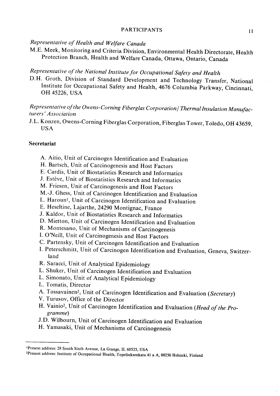#### PARTICIPANTS 11

### Representative of Health and Welfare Canada

M.E. Meek, Monitoring and Criteria Division, Environmental Health Directorate, Health Protection Branch, Health and We1fare Canada, Ottawa, Ontario, Canada

## Representative of the National Institute for Occupational Safety and Health

D.H. Groth, Division of Standard Development and Technology Transfer, National Institute for Occupational Safety and Health, 4676 Columbia Parkway, Cincinnati, OH 45226, USA

### Representative of the Owens-Corning Fiberglas Corporation / Thermal Insulation Manufacturers' Association

J.L. Konzen, Owens-Corning Fiberglas Corporation, Fiberglas Tower, Toledo, OH 43659, USA

#### Secretariat

- A. Aitio, Unit of Carcinogen Identification and Evaluation
- H. Bartsch, Unit of Carcinogenesis and Host Factors
- E. Cardis, Unit of Biostatistics Research and Informatics
- J. Estève, Unit of Biostatistics Research and Informatics
- M. Friesen, Unit of Carcinogenesis and Host Factors
- M.-J. Ghess, Unit of Carcinogen Identification and Evaluation
- L. Haroun<sup>1</sup>, Unit of Carcinogen Identification and Evaluation
- E. Heseltine, Lajarthe, 24290 Montignac, France
- J. Kaldor, Unit of Biostatistics Research and Informatics
- D. Mietton, Unit of Carcinogen Identification and Evaluation
- R. Montesano, Unit of Mechanisms of Carcinogenesis
- I. O'Neill, Unit of Carcinogenesis and Host Factors
- C. Partensky, Unit of Carcinogen Identification and Evaluation
- I. Peterschmitt, Unit of Carcinogen Identification and Evaluation, Geneva, Switzerland
- R. Saracci, Unit of Analytical Epidemiology
- L. Shuker, Unit of Carcinogen Identification and Evaluation
- L. Simonato, Unit of Analytical Epidemiology
- L. Tomatis, Director
- A. Tossavainen<sup>2</sup>, Unit of Carcinogen Identification and Evaluation (Secretary)
- V. Turusov, Office of the Director
- H. Vainio<sup>2</sup>, Unit of Carcinogen Identification and Evaluation (Head of the Programme)
- J.D. Wilbourn, Unit of Carcinogen Identification and Evaluation
- H. Yamasaki, Unit of Mechanisms of Carcinogenesis

<sup>&#</sup>x27;Present address: 29 South Sixth Avenue, La Grange, IL 60525, USA

<sup>&</sup>lt;sup>2</sup>Present address: Institute of Occupational Health, Topeliuksenkatu 41 a A, 00250 Helsinki, Finland